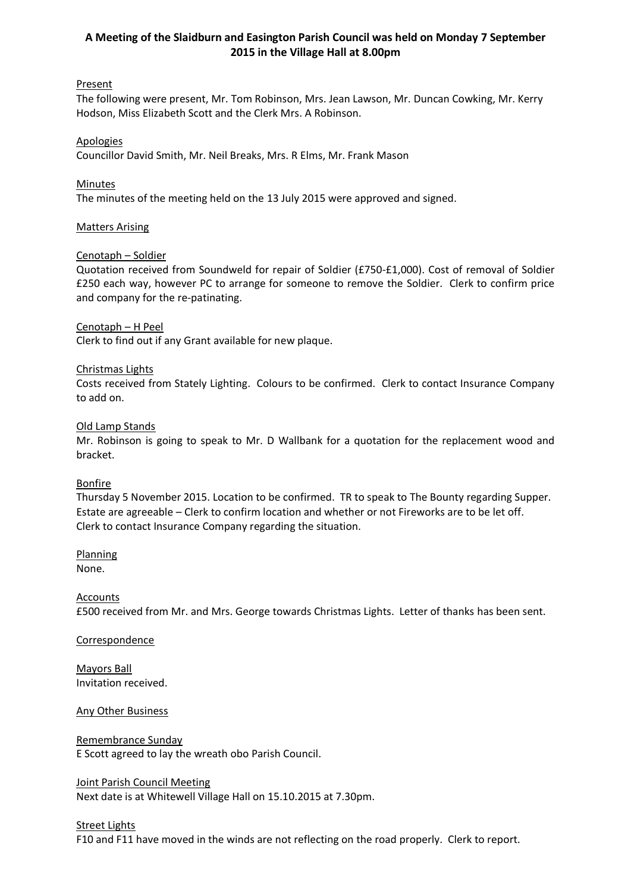# **A Meeting of the Slaidburn and Easington Parish Council was held on Monday 7 September 2015 in the Village Hall at 8.00pm**

# **Present**

The following were present, Mr. Tom Robinson, Mrs. Jean Lawson, Mr. Duncan Cowking, Mr. Kerry Hodson, Miss Elizabeth Scott and the Clerk Mrs. A Robinson.

## Apologies

Councillor David Smith, Mr. Neil Breaks, Mrs. R Elms, Mr. Frank Mason

## Minutes

The minutes of the meeting held on the 13 July 2015 were approved and signed.

## Matters Arising

# Cenotaph – Soldier

Quotation received from Soundweld for repair of Soldier (£750-£1,000). Cost of removal of Soldier £250 each way, however PC to arrange for someone to remove the Soldier. Clerk to confirm price and company for the re-patinating.

## Cenotaph – H Peel

Clerk to find out if any Grant available for new plaque.

# Christmas Lights

Costs received from Stately Lighting. Colours to be confirmed. Clerk to contact Insurance Company to add on.

## Old Lamp Stands

Mr. Robinson is going to speak to Mr. D Wallbank for a quotation for the replacement wood and bracket.

## Bonfire

Thursday 5 November 2015. Location to be confirmed. TR to speak to The Bounty regarding Supper. Estate are agreeable – Clerk to confirm location and whether or not Fireworks are to be let off. Clerk to contact Insurance Company regarding the situation.

# **Planning**

None.

# **Accounts**

£500 received from Mr. and Mrs. George towards Christmas Lights. Letter of thanks has been sent.

## **Correspondence**

Mayors Ball Invitation received.

## Any Other Business

# Remembrance Sunday E Scott agreed to lay the wreath obo Parish Council.

## Joint Parish Council Meeting Next date is at Whitewell Village Hall on 15.10.2015 at 7.30pm.

## **Street Lights**

F10 and F11 have moved in the winds are not reflecting on the road properly. Clerk to report.